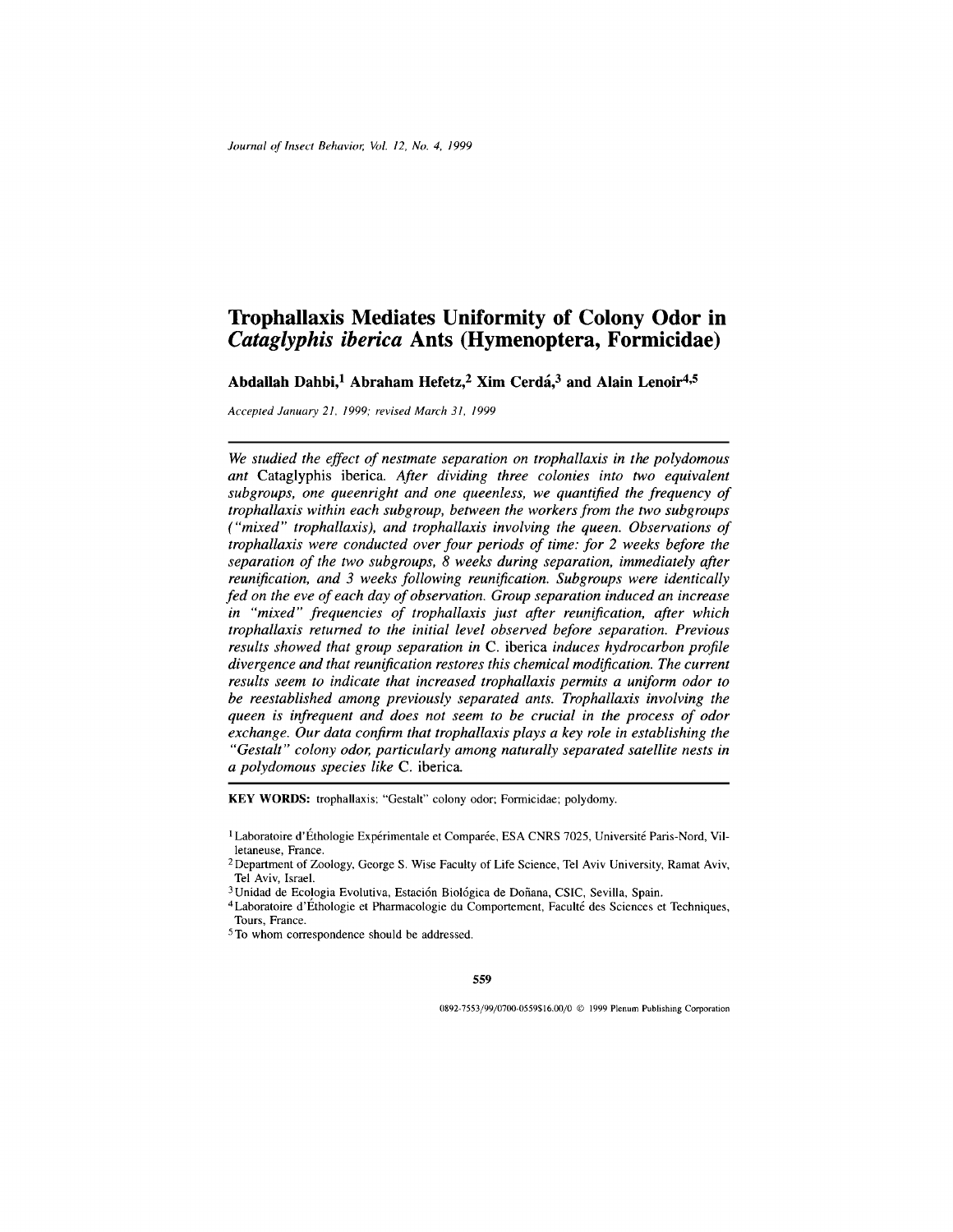# **Trophallaxis Mediates Uniformity of Colony Odor in** *Cataglyphis iberica* **Ants (Hymenoptera, Formicidae)**

**Abdallah Dahbi,<sup>1</sup> Abraham Hefetz,<sup>2</sup> Xim Cerda,<sup>3</sup> and Alain Lenoir4,5**

*Accepted January 21, 1999; revised March 31, 1999*

*We studied the effect of nestmate separation on trophallaxis in the polydomous ant* Cataglyphis iberica. *After dividing three colonies into two equivalent subgroups, one queenright and one queenless, we quantified the frequency of trophallaxis within each subgroup, between the workers from the two subgroups ("mixed" trophallaxis), and trophallaxis involving the queen. Observations of trophallaxis were conducted over four periods of time: for 2 weeks before the separation of the two subgroups, 8 weeks during separation, immediately after reunification, and 3 weeks following reunification. Subgroups were identically fed on the eve of each day of observation. Group separation induced an increase in "mixed" frequencies of trophallaxis just after reunification, after which trophallaxis returned to the initial level observed before separation. Previous results showed that group separation in* C. iberica *induces hydrocarbon profile divergence and that reunification restores this chemical modification. The current results seem to indicate that increased trophallaxis permits a uniform odor to be reestablished among previously separated ants. Trophallaxis involving the queen is infrequent and does not seem to be crucial in the process of odor exchange. Our data confirm that trophallaxis plays a key role in establishing the "Gestalt" colony odor, particularly among naturally separated satellite nests in a polydomous species like* C. iberica.

**KEY WORDS:** trophallaxis; "Gestalt" colony odor; Formicidae; polydomy.

**559**

0892-7553/99/0700-0559\$16.00/0 C 1999 Plenum Publishing Corporation

<sup>&</sup>lt;sup>1</sup> Laboratoire d'Éthologie Expérimentale et Comparée, ESA CNRS 7025, Université Paris-Nord, Villetaneuse, France.

<sup>&</sup>lt;sup>2</sup> Department of Zoology, George S. Wise Faculty of Life Science, Tel Aviv University, Ramat Aviv, Tel Aviv, Israel.

<sup>&</sup>lt;sup>3</sup> Unidad de Ecologia Evolutiva, Estación Biológica de Doñana, CSIC, Sevilla, Spain.

<sup>4</sup>Laboratoire d'Ethologie et Pharmacologie du Comportement, Faculte des Sciences et Techniques, Tours, France.

<sup>5</sup> To whom correspondence should be addressed.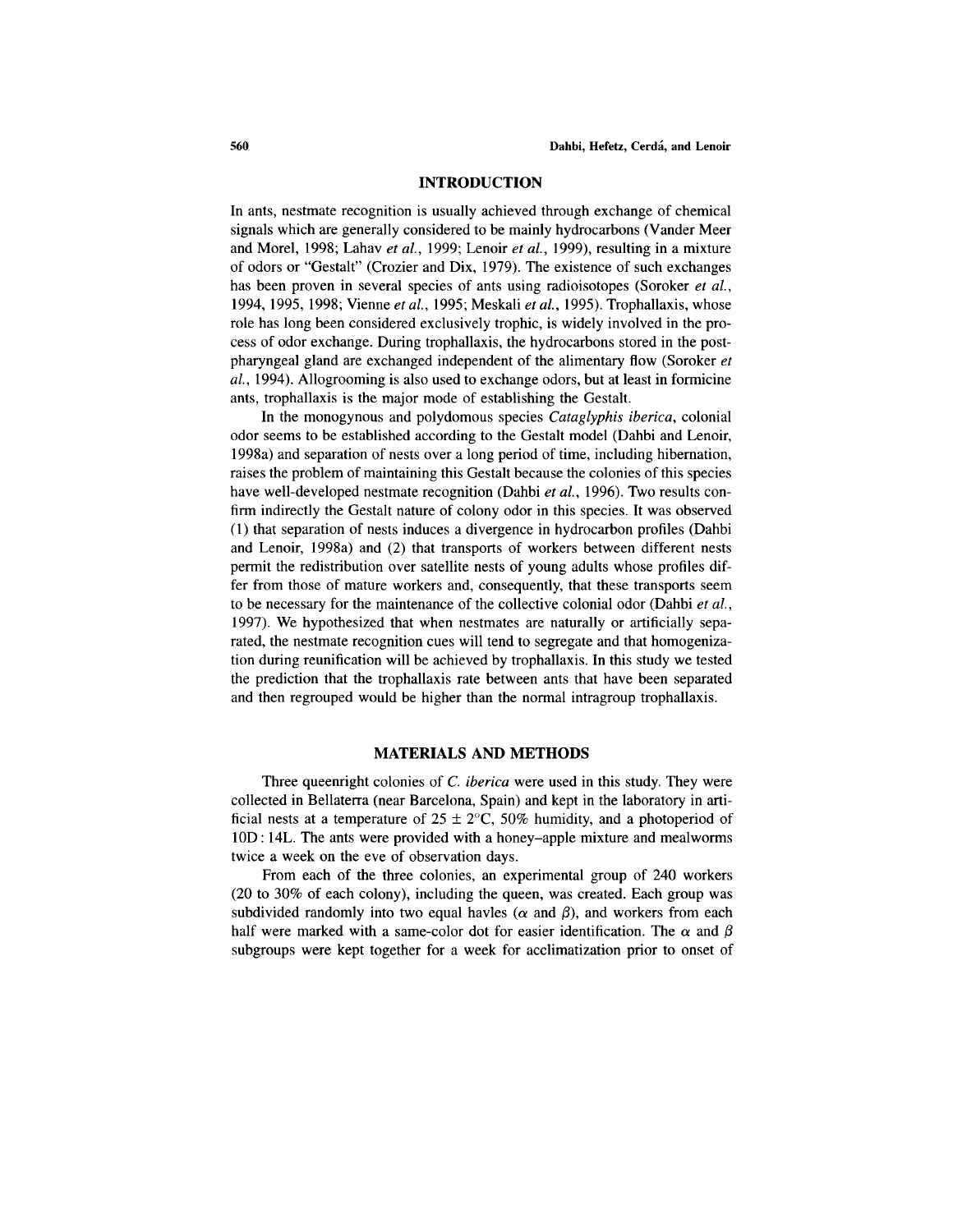#### **INTRODUCTION**

In ants, nestmate recognition is usually achieved through exchange of chemical signals which are generally considered to be mainly hydrocarbons (Vander Meer and Morel, 1998; Lahav *et al.,* 1999; Lenoir *et al.,* 1999), resulting in a mixture of odors or "Gestalt" (Crozier and Dix, 1979). The existence of such exchanges has been proven in several species of ants using radioisotopes (Soroker *et al.,* 1994, 1995, 1998; Vienne *et al.,* 1995; Meskali *et al.,* 1995). Trophallaxis, whose role has long been considered exclusively trophic, is widely involved in the process of odor exchange. During trophallaxis, the hydrocarbons stored in the postpharyngeal gland are exchanged independent of the alimentary flow (Soroker *et al.,* 1994). Allogrooming is also used to exchange odors, but at least in formicine ants, trophallaxis is the major mode of establishing the Gestalt.

In the monogynous and polydomous species *Cataglyphis iberica,* colonial odor seems to be established according to the Gestalt model (Dahbi and Lenoir, 1998a) and separation of nests over a long period of time, including hibernation, raises the problem of maintaining this Gestalt because the colonies of this species have well-developed nestmate recognition (Dahbi *et al.,* 1996). Two results confirm indirectly the Gestalt nature of colony odor in this species. It was observed (1) that separation of nests induces a divergence in hydrocarbon profiles (Dahbi and Lenoir, 1998a) and (2) that transports of workers between different nests permit the redistribution over satellite nests of young adults whose profiles differ from those of mature workers and, consequently, that these transports seem to be necessary for the maintenance of the collective colonial odor (Dahbi *et al.,* 1997). We hypothesized that when nestmates are naturally or artificially separated, the nestmate recognition cues will tend to segregate and that homogenization during reunification will be achieved by trophallaxis. In this study we tested the prediction that the trophallaxis rate between ants that have been separated and then regrouped would be higher than the normal intragroup trophallaxis.

## **MATERIALS AND METHODS**

Three queenright colonies of *C. iberica* were used in this study. They were collected in Bellaterra (near Barcelona, Spain) and kept in the laboratory in artificial nests at a temperature of  $25 \pm 2$ °C, 50% humidity, and a photoperiod of 10D: 14L. The ants were provided with a honey-apple mixture and mealworms twice a week on the eve of observation days.

From each of the three colonies, an experimental group of 240 workers (20 to 30% of each colony), including the queen, was created. Each group was subdivided randomly into two equal havles ( $\alpha$  and  $\beta$ ), and workers from each half were marked with a same-color dot for easier identification. The  $\alpha$  and  $\beta$ subgroups were kept together for a week for acclimatization prior to onset of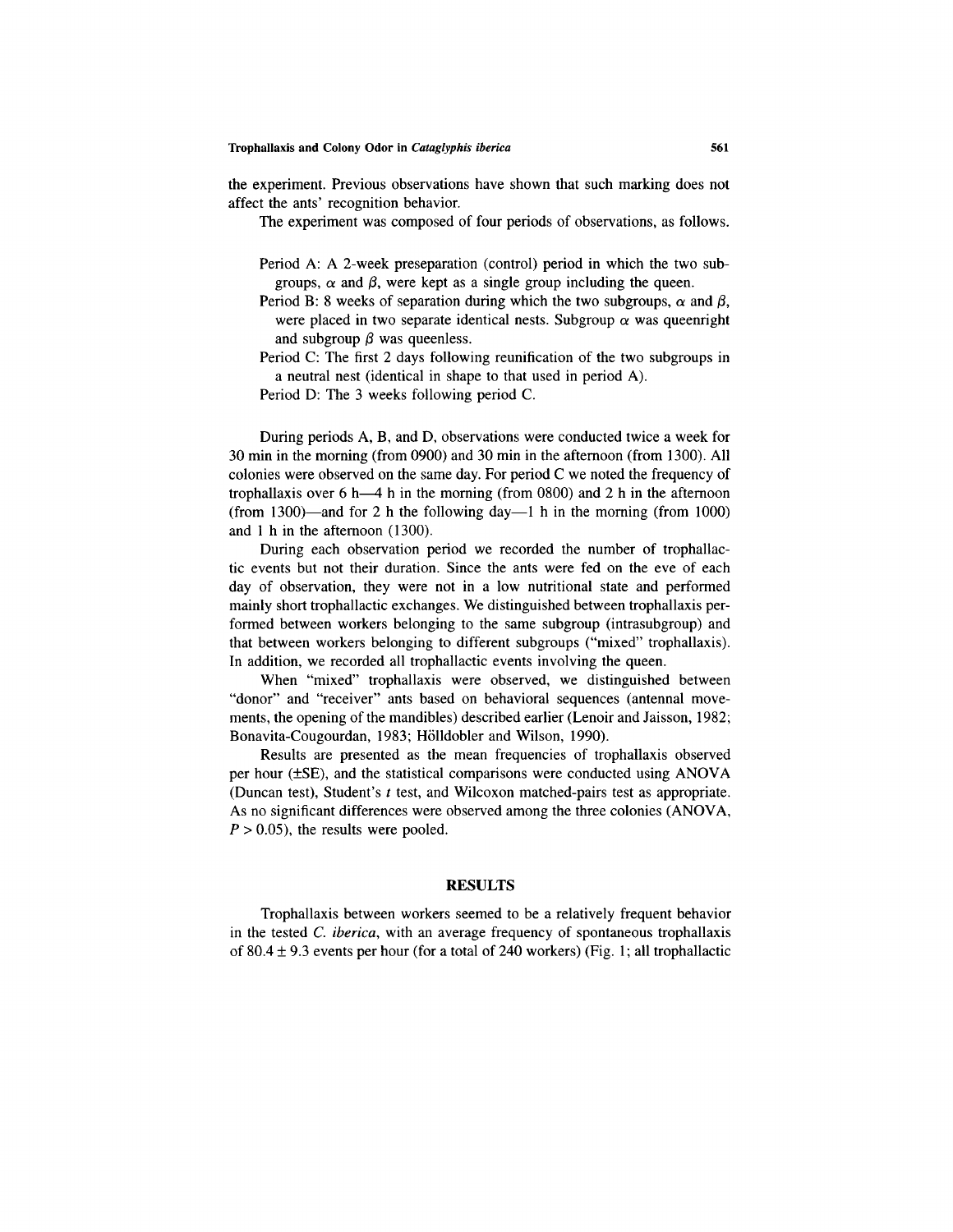the experiment. Previous observations have shown that such marking does not affect the ants' recognition behavior.

The experiment was composed of four periods of observations, as follows.

- Period A: A 2-week preseparation (control) period in which the two subgroups,  $\alpha$  and  $\beta$ , were kept as a single group including the queen.
- Period B: 8 weeks of separation during which the two subgroups,  $\alpha$  and  $\beta$ , were placed in two separate identical nests. Subgroup  $\alpha$  was queenright and subgroup  $\beta$  was queenless.
- Period C: The first 2 days following reunification of the two subgroups in a neutral nest (identical in shape to that used in period A).

Period D: The 3 weeks following period C.

During periods A, B, and D, observations were conducted twice a week for 30 min in the morning (from 0900) and 30 min in the afternoon (from 1300). All colonies were observed on the same day. For period C we noted the frequency of trophallaxis over 6 h—4 h in the morning (from 0800) and 2 h in the afternoon (from 1300)—and for 2 h the following day—1 h in the morning (from 1000) and 1 h in the afternoon (1300).

During each observation period we recorded the number of trophallactic events but not their duration. Since the ants were fed on the eve of each day of observation, they were not in a low nutritional state and performed mainly short trophallactic exchanges. We distinguished between trophallaxis performed between workers belonging to the same subgroup (intrasubgroup) and that between workers belonging to different subgroups ("mixed" trophallaxis). In addition, we recorded all trophallactic events involving the queen.

When "mixed" trophallaxis were observed, we distinguished between "donor" and "receiver" ants based on behavioral sequences (antennal movements, the opening of the mandibles) described earlier (Lenoir and Jaisson, 1982; Bonavita-Cougourdan, 1983; Hölldobler and Wilson, 1990).

Results are presented as the mean frequencies of trophallaxis observed per hour (±SE), and the statistical comparisons were conducted using ANOVA (Duncan test), Student's *t* test, and Wilcoxon matched-pairs test as appropriate. As no significant differences were observed among the three colonies (ANOVA,  $P > 0.05$ , the results were pooled.

## **RESULTS**

Trophallaxis between workers seemed to be a relatively frequent behavior in the tested *C. iberica,* with an average frequency of spontaneous trophallaxis of  $80.4 \pm 9.3$  events per hour (for a total of 240 workers) (Fig. 1; all trophallactic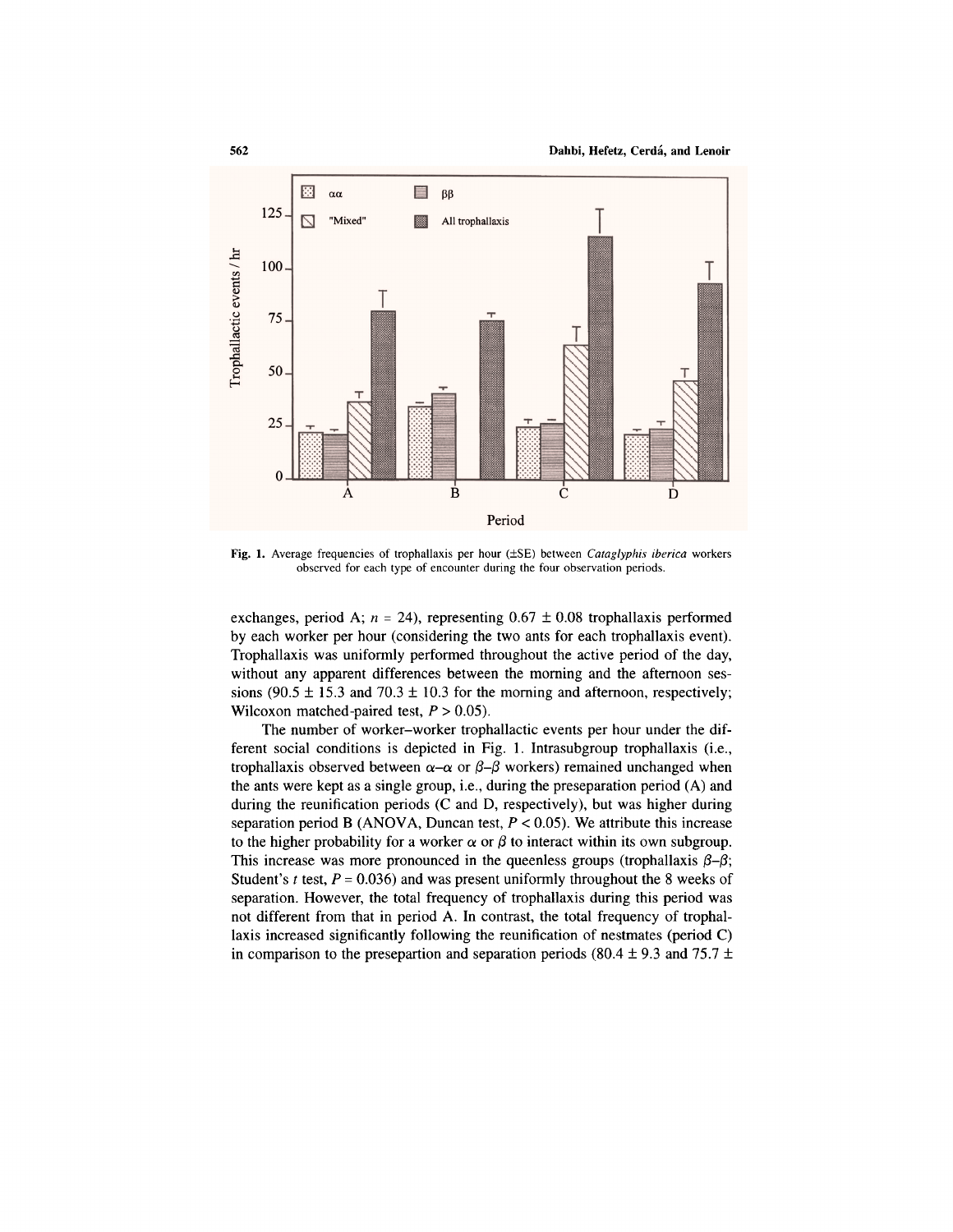

Fig. 1. Average frequencies of trophallaxis per hour (±SE) between *Cataglyphis iberica* workers observed for each type of encounter during the four observation periods.

exchanges, period A;  $n = 24$ ), representing  $0.67 \pm 0.08$  trophallaxis performed by each worker per hour (considering the two ants for each trophallaxis event). Trophallaxis was uniformly performed throughout the active period of the day, without any apparent differences between the morning and the afternoon sessions (90.5  $\pm$  15.3 and 70.3  $\pm$  10.3 for the morning and afternoon, respectively; Wilcoxon matched-paired test, *P >* 0.05).

The number of worker-worker trophallactic events per hour under the different social conditions is depicted in Fig. 1. Intrasubgroup trophallaxis (i.e., trophallaxis observed between  $\alpha-\alpha$  or  $\beta-\beta$  workers) remained unchanged when the ants were kept as a single group, i.e., during the preseparation period (A) and during the reunification periods (C and D, respectively), but was higher during separation period B (ANOVA, Duncan test, *P <* 0.05). We attribute this increase to the higher probability for a worker  $\alpha$  or  $\beta$  to interact within its own subgroup. This increase was more pronounced in the queenless groups (trophallaxis  $\beta-\beta$ ; Student's *t* test, *P =* 0.036) and was present uniformly throughout the 8 weeks of separation. However, the total frequency of trophallaxis during this period was not different from that in period A. In contrast, the total frequency of trophallaxis increased significantly following the reunification of nestmates (period C) in comparison to the presepartion and separation periods (80.4  $\pm$  9.3 and 75.7  $\pm$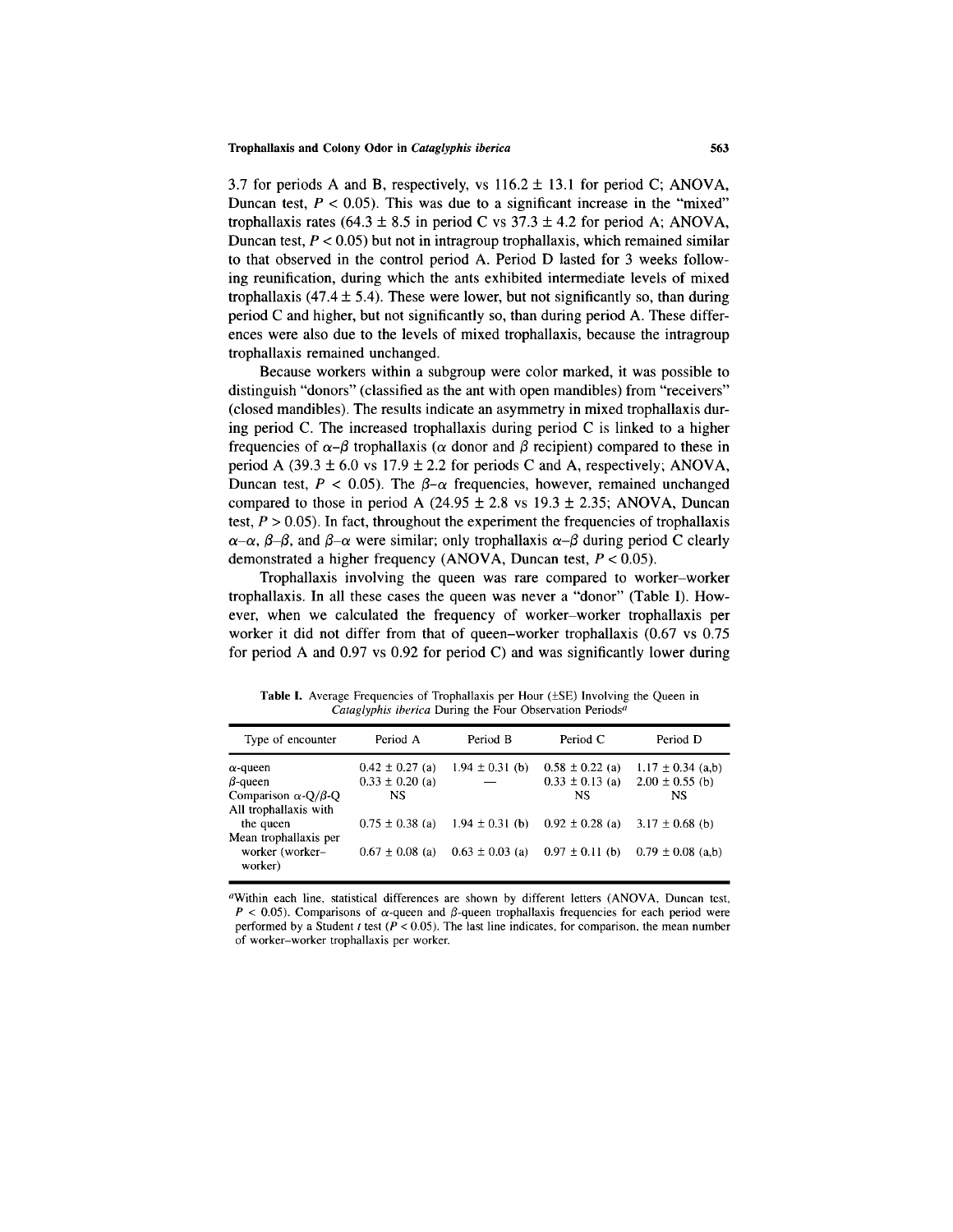3.7 for periods A and B, respectively, vs  $116.2 \pm 13.1$  for period C; ANOVA, Duncan test,  $P < 0.05$ ). This was due to a significant increase in the "mixed" trophallaxis rates (64.3  $\pm$  8.5 in period C vs 37.3  $\pm$  4.2 for period A; ANOVA, Duncan test, *P <* 0.05) but not in intragroup trophallaxis, which remained similar to that observed in the control period A. Period D lasted for 3 weeks following reunification, during which the ants exhibited intermediate levels of mixed trophallaxis (47.4  $\pm$  5.4). These were lower, but not significantly so, than during period C and higher, but not significantly so, than during period A. These differences were also due to the levels of mixed trophallaxis, because the intragroup trophallaxis remained unchanged.

Because workers within a subgroup were color marked, it was possible to distinguish "donors" (classified as the ant with open mandibles) from "receivers" (closed mandibles). The results indicate an asymmetry in mixed trophallaxis during period C. The increased trophallaxis during period C is linked to a higher frequencies of  $\alpha-\beta$  trophallaxis ( $\alpha$  donor and  $\beta$  recipient) compared to these in period A (39.3  $\pm$  6.0 vs 17.9  $\pm$  2.2 for periods C and A, respectively; ANOVA, Duncan test,  $P < 0.05$ ). The  $\beta$ - $\alpha$  frequencies, however, remained unchanged compared to those in period A (24.95  $\pm$  2.8 vs 19.3  $\pm$  2.35; ANOVA, Duncan test,  $P > 0.05$ ). In fact, throughout the experiment the frequencies of trophallaxis  $\alpha-\alpha$ ,  $\beta-\beta$ , and  $\beta-\alpha$  were similar; only trophallaxis  $\alpha-\beta$  during period C clearly demonstrated a higher frequency (ANOVA, Duncan test, *P <* 0.05).

Trophallaxis involving the queen was rare compared to worker-worker trophallaxis. In all these cases the queen was never a "donor" (Table I). However, when we calculated the frequency of worker-worker trophallaxis per worker it did not differ from that of queen-worker trophallaxis (0.67 vs 0.75 for period A and 0.97 vs 0.92 for period C) and was significantly lower during

| Type of encounter                                           | Period A                                   | Period B            | Period C                                   | Period D                                     |
|-------------------------------------------------------------|--------------------------------------------|---------------------|--------------------------------------------|----------------------------------------------|
| $\alpha$ -queen<br>$\beta$ -queen                           | $0.42 \pm 0.27$ (a)<br>$0.33 \pm 0.20$ (a) | $1.94 \pm 0.31$ (b) | $0.58 \pm 0.22$ (a)<br>$0.33 \pm 0.13$ (a) | $1.17 \pm 0.34$ (a,b)<br>$2.00 \pm 0.55$ (b) |
| Comparison $\alpha$ -Q/ $\beta$ -Q<br>All trophallaxis with | <b>NS</b>                                  |                     | <b>NS</b>                                  | NS                                           |
| the queen<br>Mean trophallaxis per                          | $0.75 \pm 0.38$ (a)                        | $1.94 \pm 0.31$ (b) | $0.92 \pm 0.28$ (a)                        | $3.17 \pm 0.68$ (b)                          |
| worker (worker-<br>worker)                                  | $0.67 \pm 0.08$ (a)                        | $0.63 \pm 0.03$ (a) | $0.97 \pm 0.11$ (b)                        | $0.79 \pm 0.08$ (a,b)                        |

Table I. Average Frequencies of Trophallaxis per Hour ( $\pm$ SE) Involving the Queen in *Cataglyphis iberica* During the Four Observation Periods<sup>a</sup>

<sup>a</sup>Within each line, statistical differences are shown by different letters (ANOVA, Duncan test,  $P < 0.05$ ). Comparisons of  $\alpha$ -queen and  $\beta$ -queen trophallaxis frequencies for each period were performed by a Student *t* test *(P <* 0.05). The last line indicates, for comparison, the mean number of worker-worker trophallaxis per worker.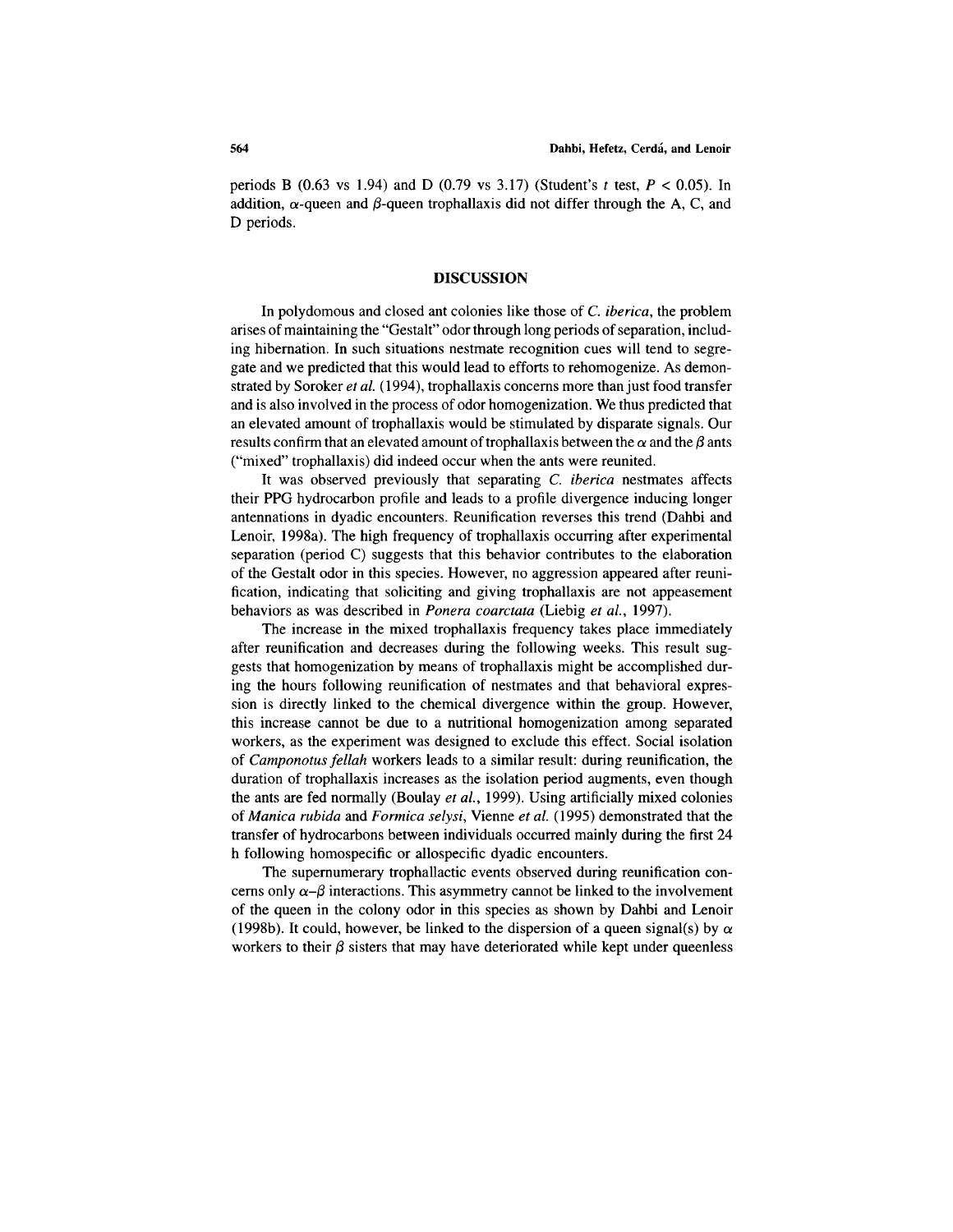periods B (0.63 vs 1.94) and D (0.79 vs 3.17) (Student's *t* test, *P <* 0.05). In addition,  $\alpha$ -queen and  $\beta$ -queen trophallaxis did not differ through the A, C, and D periods.

#### **DISCUSSION**

In polydomous and closed ant colonies like those of *C. iberica,* the problem arises of maintaining the "Gestalt" odor through long periods of separation, including hibernation. In such situations nestmate recognition cues will tend to segregate and we predicted that this would lead to efforts to rehomogenize. As demonstrated by Soroker *et al. (*1994), trophallaxis concerns more than just food transfer and is also involved in the process of odor homogenization. We thus predicted that an elevated amount of trophallaxis would be stimulated by disparate signals. Our results confirm that an elevated amount of trophallaxis between the  $\alpha$  and the  $\beta$  ants ("mixed" trophallaxis) did indeed occur when the ants were reunited.

It was observed previously that separating *C. iberica* nestmates affects their PPG hydrocarbon profile and leads to a profile divergence inducing longer antennations in dyadic encounters. Reunification reverses this trend (Dahbi and Lenoir, 1998a). The high frequency of trophallaxis occurring after experimental separation (period C) suggests that this behavior contributes to the elaboration of the Gestalt odor in this species. However, no aggression appeared after reunification, indicating that soliciting and giving trophallaxis are not appeasement behaviors as was described in *Ponera coarctata* (Liebig *et al.,* 1997).

The increase in the mixed trophallaxis frequency takes place immediately after reunification and decreases during the following weeks. This result suggests that homogenization by means of trophallaxis might be accomplished during the hours following reunification of nestmates and that behavioral expression is directly linked to the chemical divergence within the group. However, this increase cannot be due to a nutritional homogenization among separated workers, as the experiment was designed to exclude this effect. Social isolation of *Camponotus fellah* workers leads to a similar result: during reunification, the duration of trophallaxis increases as the isolation period augments, even though the ants are fed normally (Boulay *et al.,* 1999). Using artificially mixed colonies of *Manica rubida* and *Formica selysi,* Vienne *et al.* (1995) demonstrated that the transfer of hydrocarbons between individuals occurred mainly during the first 24 h following homospecific or allospecific dyadic encounters.

The supernumerary trophallactic events observed during reunification concerns only  $\alpha-\beta$  interactions. This asymmetry cannot be linked to the involvement of the queen in the colony odor in this species as shown by Dahbi and Lenoir (1998b). It could, however, be linked to the dispersion of a queen signal(s) by  $\alpha$ workers to their  $\beta$  sisters that may have deteriorated while kept under queenless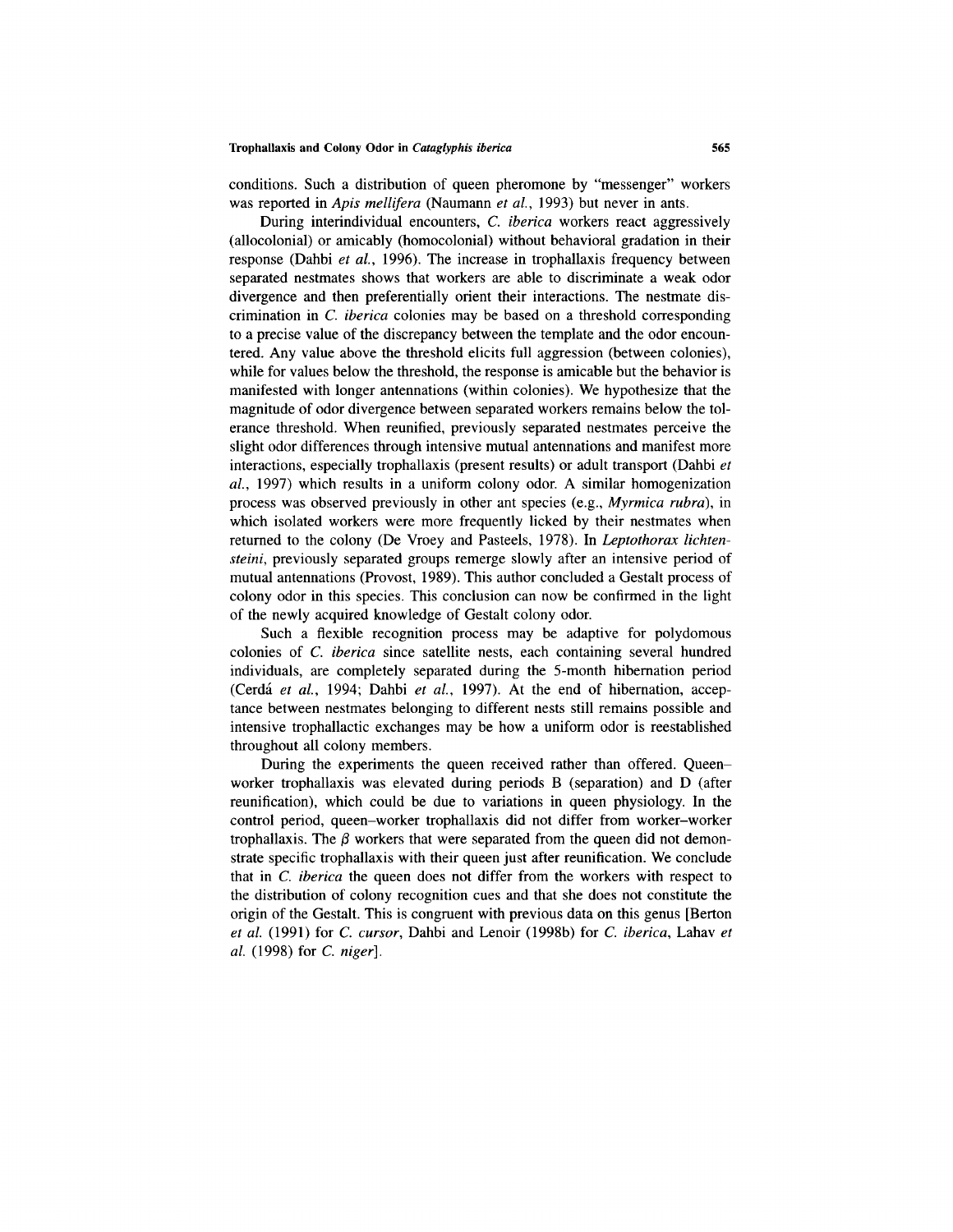conditions. Such a distribution of queen pheromone by "messenger" workers was reported in *Apis mellifera* (Naumann *et al.,* 1993) but never in ants.

During interindividual encounters, *C. iberica* workers react aggressively (allocolonial) or amicably (homocolonial) without behavioral gradation in their response (Dahbi *et al.,* 1996). The increase in trophallaxis frequency between separated nestmates shows that workers are able to discriminate a weak odor divergence and then preferentially orient their interactions. The nestmate discrimination in *C. iberica* colonies may be based on a threshold corresponding to a precise value of the discrepancy between the template and the odor encountered. Any value above the threshold elicits full aggression (between colonies), while for values below the threshold, the response is amicable but the behavior is manifested with longer antennations (within colonies). We hypothesize that the magnitude of odor divergence between separated workers remains below the tolerance threshold. When reunified, previously separated nestmates perceive the slight odor differences through intensive mutual antennations and manifest more interactions, especially trophallaxis (present results) or adult transport (Dahbi *et al.,* 1997) which results in a uniform colony odor. A similar homogenization process was observed previously in other ant species (e.g., *Myrmica rubra),* in which isolated workers were more frequently licked by their nestmates when returned to the colony (De Vroey and Pasteels, 1978). In *Leptothorax lichtensteini,* previously separated groups remerge slowly after an intensive period of mutual antennations (Provost, 1989). This author concluded a Gestalt process of colony odor in this species. This conclusion can now be confirmed in the light of the newly acquired knowledge of Gestalt colony odor.

Such a flexible recognition process may be adaptive for polydomous colonies of *C. iberica* since satellite nests, each containing several hundred individuals, are completely separated during the 5-month hibernation period (Cerda *et al.,* 1994; Dahbi *et al.,* 1997). At the end of hibernation, acceptance between nestmates belonging to different nests still remains possible and intensive trophallactic exchanges may be how a uniform odor is reestablished throughout all colony members.

During the experiments the queen received rather than offered. Queenworker trophallaxis was elevated during periods B (separation) and D (after reunification), which could be due to variations in queen physiology. In the control period, queen-worker trophallaxis did not differ from worker-worker trophallaxis. The  $\beta$  workers that were separated from the queen did not demonstrate specific trophallaxis with their queen just after reunification. We conclude that in *C. iberica* the queen does not differ from the workers with respect to the distribution of colony recognition cues and that she does not constitute the origin of the Gestalt. This is congruent with previous data on this genus [Berton *et al.* (1991) for *C. cursor,* Dahbi and Lenoir (1998b) for *C. iberica,* Lahav *et al.* (1998) for *C. niger].*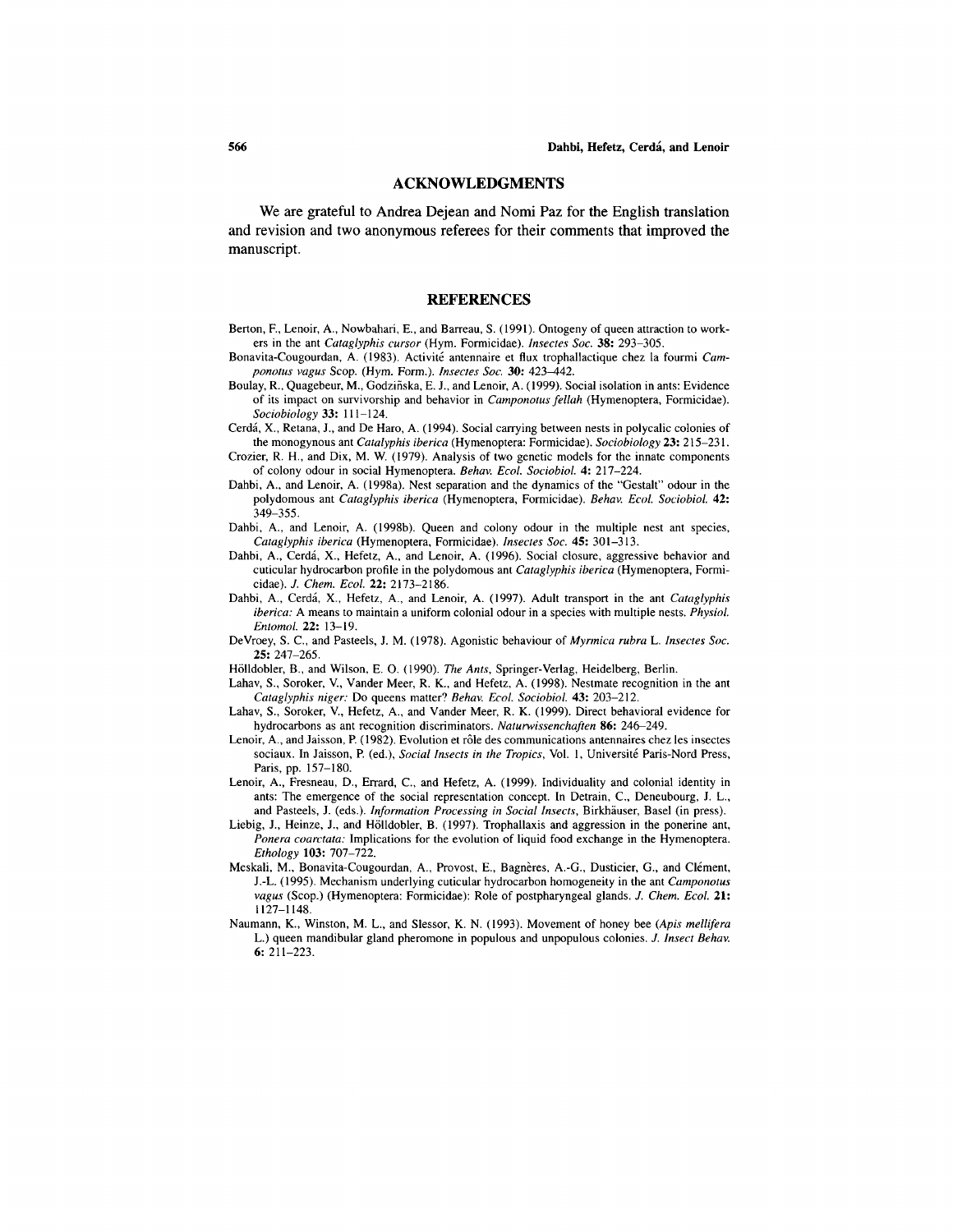### **ACKNOWLEDGMENTS**

We are grateful to Andrea Dejean and Nomi Paz for the English translation and revision and two anonymous referees for their comments that improved the manuscript.

#### **REFERENCES**

- Berton, F., Lenoir, A., Nowbahari, E., and Barreau, S. (1991). Ontogeny of queen attraction to workers in the ant *Cataglyphis cursor* (Hym. Formicidae). *Insectes Soc.* 38: 293-305.
- Bonavita-Cougourdan, A. (1983). Activite antennaire et flux trophallactique chez la fourmi *Camponotus vagus* Scop. (Hym. Form.). *Insectes Soc.* 30: *423—442.*
- Boulay, R., Quagebeur, M., Godzinska, E. J., and Lenoir, A. (1999). Social isolation in ants: Evidence of its impact on survivorship and behavior in *Camponotus fellah* (Hymenoptera, Formicidae). *Sociobiology* 33: 111-124.
- Cerda, X., Retana, J., and De Haro, A. (1994). Social carrying between nests in polycalic colonies of the monogynous ant *Catalyphis iberica* (Hymenoptera: Formicidae). *Sociobiology* 23: 215-231.
- Crozier, R. H., and Dix, M. W. (1979). Analysis of two genetic models for the innate components of colony odour in social Hymenoptera. *Behav. Ecol. Sociobiol.* 4: 217-224.
- Dahbi, A., and Lenoir, A. (1998a). Nest separation and the dynamics of the "Gestalt" odour in the polydomous ant *Cataglyphis iberica* (Hymenoptera, Formicidae). *Behav. Ecol. Sociobiol.* 42: 349-355.
- Dahbi, A., and Lenoir, A. (1998b). Queen and colony odour in the multiple nest ant species, *Cataglyphis iberica* (Hymenoptera, Formicidae). *Insectes Soc.* 45: 301-313.
- Dahbi, A., Cerda, X., Hefetz, A., and Lenoir, A. (1996). Social closure, aggressive behavior and cuticular hydrocarbon profile in the polydomous ant *Cataglyphis iberica* (Hymenoptera, Formicidae). *J. Chem. Ecol.* 22: 2173-2186.
- Dahbi, A., Cerda, X., Hefetz, A., and Lenoir, A. (1997). Adult transport in the ant *Cataglyphis iberica:* A means to maintain a uniform colonial odour in a species with multiple nests. *Physiol. Entomol.* 22: 13-19.
- DeVroey, S. C., and Pasteels, J. M. (1978). Agonistic behaviour of *Myrmica rubra L. Insectes Soc.* 25: 247-265.
- Holldobler, B., and Wilson, E. O. (1990). *The Ants,* Springer-Verlag, Heidelberg, Berlin.
- Lahav, S., Soroker, V., Vander Meer, R. K., and Hefetz, A. (1998). Nestmate recognition in the ant *Cataglyphis niger:* Do queens matter? *Behav. Ecol. Sociobiol.* 43: 203-212.
- Lahav, S., Soroker, V., Hefetz, A., and Vander Meer, R. K. (1999). Direct behavioral evidence for hydrocarbons as ant recognition discriminators. *Naturwissenchaften* **86:** 246–249.
- Lenoir, A., and Jaisson, P. (1982). Evolution et rôle des communications antennaires chez les insectes sociaux. In Jaisson, P. (ed.), *Social Insects in the Tropics*, Vol. 1, Université Paris-Nord Press, Paris, pp. 157-180.
- Lenoir, A., Fresneau, D., Errard, C., and Hefetz, A. (1999). Individuality and colonial identity in ants: The emergence of the social representation concept. In Detrain, C., Deneubourg, J. L., and Pasteels, J. (eds.). *Information Processing in Social Insects,* Birkhauser, Basel (in press).
- Liebig, J., Heinze, J., and Holldobler, B. (1997). Trophallaxis and aggression in the ponerine ant, *Ponera coarctata:* Implications for the evolution of liquid food exchange in the Hymenoptera. *Ethology* 103: 707-722.
- Meskali, M., Bonavita-Cougourdan, A., Provost, E., Bagnères, A.-G., Dusticier, G., and Clément, J.-L. (1995). Mechanism underlying cuticular hydrocarbon homogeneity in the ant *Camponotus vagus* (Scop.) (Hymenoptera: Formicidae): Role of postpharyngeal glands. *J. Chem. Ecol.* 21: 1127-1148.
- Naumann, K., Winston, M. L., and Slessor, K. N. (1993). Movement of honey bee *(Apis mellifera* L.) queen mandibular gland pheromone in populous and unpopulous colonies. J. *Insect Behav.* 6: 211-223.